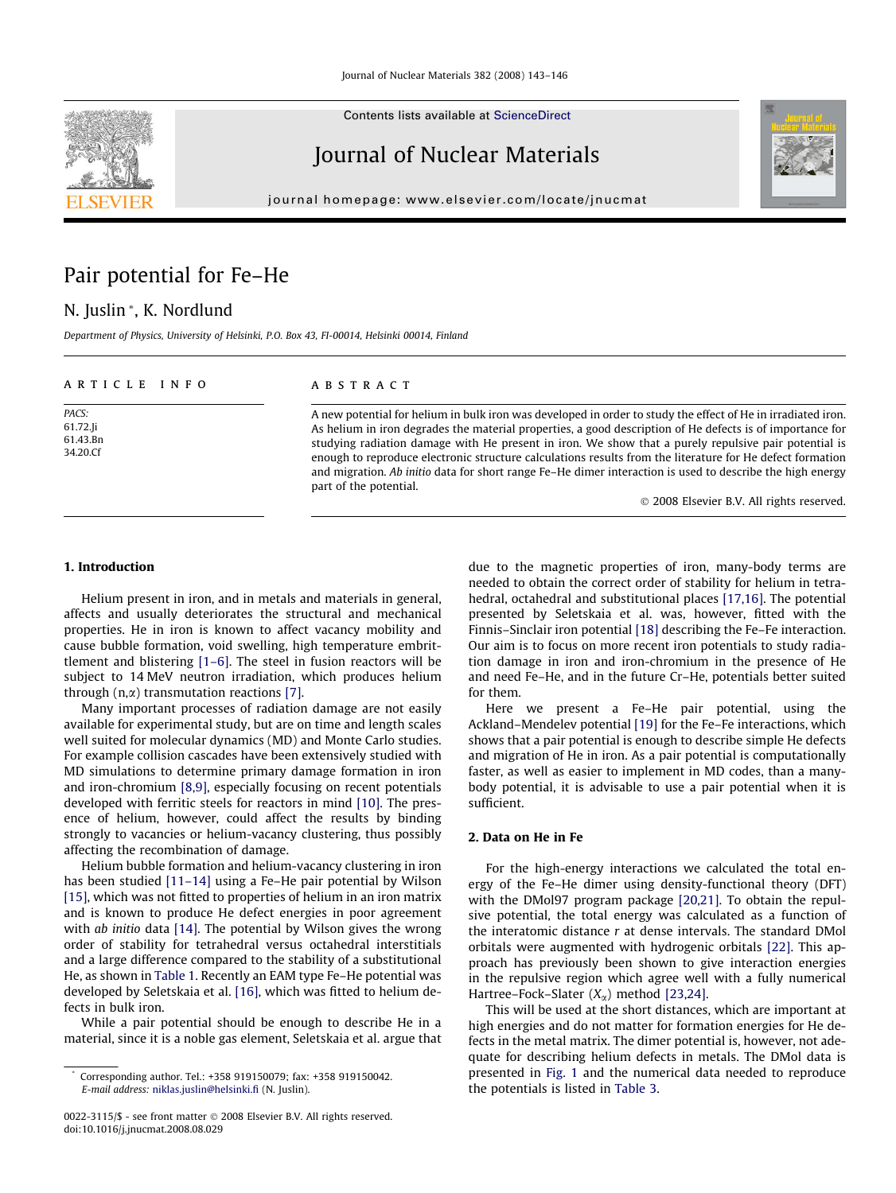Contents lists available at [ScienceDirect](http://www.sciencedirect.com/science/journal/00223115)

# Journal of Nuclear Materials

journal homepage: [www.elsevier.com/locate/jnucmat](http://www.elsevier.com/locate/jnucmat)

# Pair potential for Fe–He

# N. Juslin \*, K. Nordlund

Department of Physics, University of Helsinki, P.O. Box 43, FI-00014, Helsinki 00014, Finland

### article info

PACS: 61.72.Ji 61.43.Bn 34.20.Cf

# **ABSTRACT**

A new potential for helium in bulk iron was developed in order to study the effect of He in irradiated iron. As helium in iron degrades the material properties, a good description of He defects is of importance for studying radiation damage with He present in iron. We show that a purely repulsive pair potential is enough to reproduce electronic structure calculations results from the literature for He defect formation and migration. Ab initio data for short range Fe–He dimer interaction is used to describe the high energy part of the potential.

- 2008 Elsevier B.V. All rights reserved.

#### 1. Introduction

Helium present in iron, and in metals and materials in general, affects and usually deteriorates the structural and mechanical properties. He in iron is known to affect vacancy mobility and cause bubble formation, void swelling, high temperature embrittlement and blistering [\[1–6\]](#page-3-0). The steel in fusion reactors will be subject to 14 MeV neutron irradiation, which produces helium through  $(n,\alpha)$  transmutation reactions [\[7\]](#page-3-0).

Many important processes of radiation damage are not easily available for experimental study, but are on time and length scales well suited for molecular dynamics (MD) and Monte Carlo studies. For example collision cascades have been extensively studied with MD simulations to determine primary damage formation in iron and iron-chromium [\[8,9\],](#page-3-0) especially focusing on recent potentials developed with ferritic steels for reactors in mind [\[10\].](#page-3-0) The presence of helium, however, could affect the results by binding strongly to vacancies or helium-vacancy clustering, thus possibly affecting the recombination of damage.

Helium bubble formation and helium-vacancy clustering in iron has been studied [\[11–14\]](#page-3-0) using a Fe–He pair potential by Wilson [\[15\],](#page-3-0) which was not fitted to properties of helium in an iron matrix and is known to produce He defect energies in poor agreement with *ab initio* data [\[14\]](#page-3-0). The potential by Wilson gives the wrong order of stability for tetrahedral versus octahedral interstitials and a large difference compared to the stability of a substitutional He, as shown in [Table 1.](#page-1-0) Recently an EAM type Fe–He potential was developed by Seletskaia et al. [\[16\],](#page-3-0) which was fitted to helium defects in bulk iron.

While a pair potential should be enough to describe He in a material, since it is a noble gas element, Seletskaia et al. argue that due to the magnetic properties of iron, many-body terms are needed to obtain the correct order of stability for helium in tetrahedral, octahedral and substitutional places [\[17,16\]](#page-3-0). The potential presented by Seletskaia et al. was, however, fitted with the Finnis–Sinclair iron potential [\[18\]](#page-3-0) describing the Fe–Fe interaction. Our aim is to focus on more recent iron potentials to study radiation damage in iron and iron-chromium in the presence of He and need Fe–He, and in the future Cr–He, potentials better suited for them.

Here we present a Fe–He pair potential, using the Ackland–Mendelev potential [\[19\]](#page-3-0) for the Fe–Fe interactions, which shows that a pair potential is enough to describe simple He defects and migration of He in iron. As a pair potential is computationally faster, as well as easier to implement in MD codes, than a manybody potential, it is advisable to use a pair potential when it is sufficient.

# 2. Data on He in Fe

For the high-energy interactions we calculated the total energy of the Fe–He dimer using density-functional theory (DFT) with the DMol97 program package [\[20,21\]](#page-3-0). To obtain the repulsive potential, the total energy was calculated as a function of the interatomic distance  $r$  at dense intervals. The standard DMol orbitals were augmented with hydrogenic orbitals [\[22\].](#page-3-0) This approach has previously been shown to give interaction energies in the repulsive region which agree well with a fully numerical Hartree–Fock–Slater  $(X_{\alpha})$  method [\[23,24\]](#page-3-0).

This will be used at the short distances, which are important at high energies and do not matter for formation energies for He defects in the metal matrix. The dimer potential is, however, not adequate for describing helium defects in metals. The DMol data is presented in [Fig. 1](#page-1-0) and the numerical data needed to reproduce the potentials is listed in [Table 3.](#page-2-0)





Corresponding author. Tel.: +358 919150079; fax: +358 919150042. E-mail address: [niklas.juslin@helsinki.fi](mailto:niklas.juslin@helsinki.fi) (N. Juslin).

<sup>0022-3115/\$ -</sup> see front matter © 2008 Elsevier B.V. All rights reserved. doi:10.1016/j.jnucmat.2008.08.029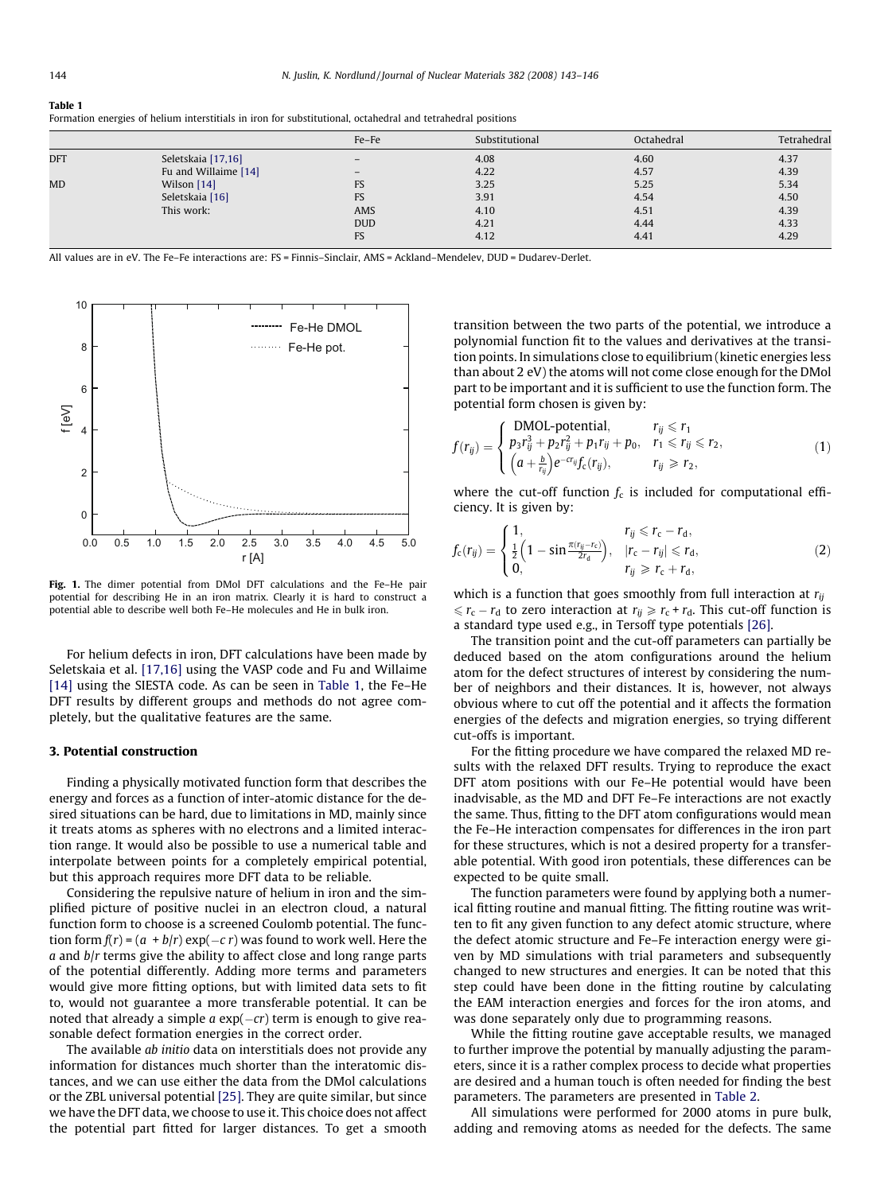|            |                      | Fe-Fe                    | Substitutional | Octahedral | Tetrahedral |
|------------|----------------------|--------------------------|----------------|------------|-------------|
| <b>DFT</b> | Seletskaia [17,16]   | $\overline{\phantom{0}}$ | 4.08           | 4.60       | 4.37        |
|            | Fu and Willaime [14] | $\overline{\phantom{0}}$ | 4.22           | 4.57       | 4.39        |
| MD         | Wilson [14]          | FS                       | 3.25           | 5.25       | 5.34        |
|            | Seletskaia [16]      | FS                       | 3.91           | 4.54       | 4.50        |
|            | This work:           | AMS                      | 4.10           | 4.51       | 4.39        |
|            |                      | <b>DUD</b>               | 4.21           | 4.44       | 4.33        |
|            |                      | FS                       | 4.12           | 4.41       | 4.29        |

Formation energies of helium interstitials in iron for substitutional, octahedral and tetrahedral positions

All values are in eV. The Fe–Fe interactions are: FS = Finnis–Sinclair, AMS = Ackland–Mendelev, DUD = Dudarev-Derlet.



Fig. 1. The dimer potential from DMol DFT calculations and the Fe–He pair potential for describing He in an iron matrix. Clearly it is hard to construct a potential able to describe well both Fe–He molecules and He in bulk iron.

For helium defects in iron, DFT calculations have been made by Seletskaia et al. [\[17,16\]](#page-3-0) using the VASP code and Fu and Willaime [\[14\]](#page-3-0) using the SIESTA code. As can be seen in Table 1, the Fe–He DFT results by different groups and methods do not agree completely, but the qualitative features are the same.

### 3. Potential construction

Finding a physically motivated function form that describes the energy and forces as a function of inter-atomic distance for the desired situations can be hard, due to limitations in MD, mainly since it treats atoms as spheres with no electrons and a limited interaction range. It would also be possible to use a numerical table and interpolate between points for a completely empirical potential, but this approach requires more DFT data to be reliable.

Considering the repulsive nature of helium in iron and the simplified picture of positive nuclei in an electron cloud, a natural function form to choose is a screened Coulomb potential. The function form  $f(r)$  = (a  $\,$  + b/r) exp( – c r) was found to work well. Here the  $a$  and  $b/r$  terms give the ability to affect close and long range parts of the potential differently. Adding more terms and parameters would give more fitting options, but with limited data sets to fit to, would not guarantee a more transferable potential. It can be noted that already a simple  $a$  exp( $-cr$ ) term is enough to give reasonable defect formation energies in the correct order.

The available ab initio data on interstitials does not provide any information for distances much shorter than the interatomic distances, and we can use either the data from the DMol calculations or the ZBL universal potential [\[25\]](#page-3-0). They are quite similar, but since we have the DFT data, we choose to use it. This choice does not affect the potential part fitted for larger distances. To get a smooth

transition between the two parts of the potential, we introduce a polynomial function fit to the values and derivatives at the transition points. In simulations close to equilibrium (kinetic energies less than about 2 eV) the atoms will not come close enough for the DMol part to be important and it is sufficient to use the function form. The potential form chosen is given by:

$$
f(r_{ij}) = \begin{cases} \text{DMOL-potential}, & r_{ij} \le r_1 \\ p_3 r_{ij}^3 + p_2 r_{ij}^2 + p_1 r_{ij} + p_0, & r_1 \le r_{ij} \le r_2, \\ \left(a + \frac{b}{r_{ij}}\right) e^{-cr_{ij}} f_c(r_{ij}), & r_{ij} \ge r_2, \end{cases}
$$
(1)

where the cut-off function  $f_c$  is included for computational efficiency. It is given by:

$$
f_{\rm c}(r_{ij}) = \begin{cases} 1, & r_{ij} \leq r_{\rm c} - r_{\rm d}, \\ \frac{1}{2} \left( 1 - \sin \frac{\pi (r_{ij} - r_{\rm c})}{2r_{\rm d}} \right), & |r_{\rm c} - r_{ij}| \leq r_{\rm d}, \\ 0, & r_{ij} \geq r_{\rm c} + r_{\rm d}, \end{cases}
$$
(2)

which is a function that goes smoothly from full interaction at  $r_{ii}$  $\leq r_c - r_d$  to zero interaction at  $r_{ij} \geq r_c + r_d$ . This cut-off function is a standard type used e.g., in Tersoff type potentials [\[26\]](#page-3-0).

The transition point and the cut-off parameters can partially be deduced based on the atom configurations around the helium atom for the defect structures of interest by considering the number of neighbors and their distances. It is, however, not always obvious where to cut off the potential and it affects the formation energies of the defects and migration energies, so trying different cut-offs is important.

For the fitting procedure we have compared the relaxed MD results with the relaxed DFT results. Trying to reproduce the exact DFT atom positions with our Fe–He potential would have been inadvisable, as the MD and DFT Fe–Fe interactions are not exactly the same. Thus, fitting to the DFT atom configurations would mean the Fe–He interaction compensates for differences in the iron part for these structures, which is not a desired property for a transferable potential. With good iron potentials, these differences can be expected to be quite small.

The function parameters were found by applying both a numerical fitting routine and manual fitting. The fitting routine was written to fit any given function to any defect atomic structure, where the defect atomic structure and Fe–Fe interaction energy were given by MD simulations with trial parameters and subsequently changed to new structures and energies. It can be noted that this step could have been done in the fitting routine by calculating the EAM interaction energies and forces for the iron atoms, and was done separately only due to programming reasons.

While the fitting routine gave acceptable results, we managed to further improve the potential by manually adjusting the parameters, since it is a rather complex process to decide what properties are desired and a human touch is often needed for finding the best parameters. The parameters are presented in [Table 2](#page-2-0).

All simulations were performed for 2000 atoms in pure bulk, adding and removing atoms as needed for the defects. The same

<span id="page-1-0"></span>Table 1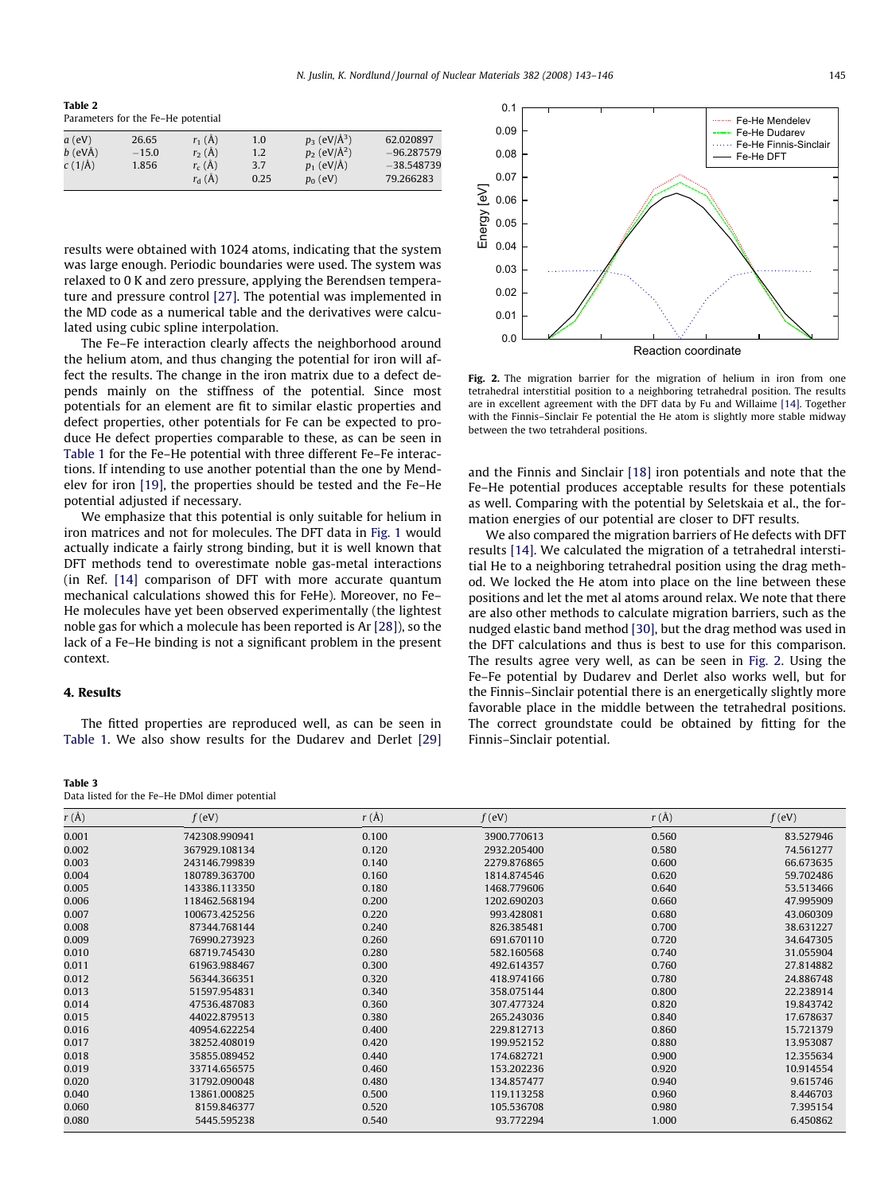<span id="page-2-0"></span>Table 2 Parameters for the Fe–He potential

|                   | randmenters for the re-ric potential |                 |      |                           |              |
|-------------------|--------------------------------------|-----------------|------|---------------------------|--------------|
| $a$ (eV)          | 26.65                                | $r_1(A)$        | 1.0  | $p_3$ (eV/ $\rm{\AA}^3$ ) | 62.020897    |
| $b$ (eVÅ)         | $-15.0$                              | $r_2(A)$        | 1.2  | $p_2$ (eV/ $\rm \AA^2$ )  | $-96.287579$ |
| $c(1/\text{\AA})$ | 1.856                                | $r_c(A)$        | 3.7  | $p_1$ (eV/Å)              | $-38.548739$ |
|                   |                                      | $r_{\rm d}$ (Å) | 0.25 | $p_0$ (eV)                | 79.266283    |

results were obtained with 1024 atoms, indicating that the system was large enough. Periodic boundaries were used. The system was relaxed to 0 K and zero pressure, applying the Berendsen temperature and pressure control [\[27\].](#page-3-0) The potential was implemented in the MD code as a numerical table and the derivatives were calculated using cubic spline interpolation.

The Fe–Fe interaction clearly affects the neighborhood around the helium atom, and thus changing the potential for iron will affect the results. The change in the iron matrix due to a defect depends mainly on the stiffness of the potential. Since most potentials for an element are fit to similar elastic properties and defect properties, other potentials for Fe can be expected to produce He defect properties comparable to these, as can be seen in [Table 1](#page-1-0) for the Fe–He potential with three different Fe–Fe interactions. If intending to use another potential than the one by Mendelev for iron [\[19\],](#page-3-0) the properties should be tested and the Fe–He potential adjusted if necessary.

We emphasize that this potential is only suitable for helium in iron matrices and not for molecules. The DFT data in [Fig. 1](#page-1-0) would actually indicate a fairly strong binding, but it is well known that DFT methods tend to overestimate noble gas-metal interactions (in Ref. [\[14\]](#page-3-0) comparison of DFT with more accurate quantum mechanical calculations showed this for FeHe). Moreover, no Fe– He molecules have yet been observed experimentally (the lightest noble gas for which a molecule has been reported is Ar [\[28\]](#page-3-0)), so the lack of a Fe–He binding is not a significant problem in the present context.

# 4. Results

The fitted properties are reproduced well, as can be seen in [Table 1.](#page-1-0) We also show results for the Dudarev and Derlet [\[29\]](#page-3-0)

Table 3 Data listed for the Fe–He DMol dimer potential



Fig. 2. The migration barrier for the migration of helium in iron from one tetrahedral interstitial position to a neighboring tetrahedral position. The results are in excellent agreement with the DFT data by Fu and Willaime [\[14\].](#page-3-0) Together with the Finnis–Sinclair Fe potential the He atom is slightly more stable midway between the two tetrahderal positions.

and the Finnis and Sinclair [\[18\]](#page-3-0) iron potentials and note that the Fe–He potential produces acceptable results for these potentials as well. Comparing with the potential by Seletskaia et al., the formation energies of our potential are closer to DFT results.

We also compared the migration barriers of He defects with DFT results [\[14\].](#page-3-0) We calculated the migration of a tetrahedral interstitial He to a neighboring tetrahedral position using the drag method. We locked the He atom into place on the line between these positions and let the met al atoms around relax. We note that there are also other methods to calculate migration barriers, such as the nudged elastic band method [\[30\]](#page-3-0), but the drag method was used in the DFT calculations and thus is best to use for this comparison. The results agree very well, as can be seen in Fig. 2. Using the Fe–Fe potential by Dudarev and Derlet also works well, but for the Finnis–Sinclair potential there is an energetically slightly more favorable place in the middle between the tetrahedral positions. The correct groundstate could be obtained by fitting for the Finnis–Sinclair potential.

| $r(\text{\AA})$ | $f$ (eV)      | r(A)  | $f$ (eV)    | r(A)  | $f$ (eV)  |
|-----------------|---------------|-------|-------------|-------|-----------|
| 0.001           | 742308.990941 | 0.100 | 3900.770613 | 0.560 | 83.527946 |
| 0.002           | 367929.108134 | 0.120 | 2932.205400 | 0.580 | 74.561277 |
| 0.003           | 243146.799839 | 0.140 | 2279.876865 | 0.600 | 66.673635 |
| 0.004           | 180789.363700 | 0.160 | 1814.874546 | 0.620 | 59.702486 |
| 0.005           | 143386.113350 | 0.180 | 1468.779606 | 0.640 | 53.513466 |
| 0.006           | 118462.568194 | 0.200 | 1202.690203 | 0.660 | 47.995909 |
| 0.007           | 100673.425256 | 0.220 | 993.428081  | 0.680 | 43.060309 |
| 0.008           | 87344.768144  | 0.240 | 826.385481  | 0.700 | 38.631227 |
| 0.009           | 76990.273923  | 0.260 | 691.670110  | 0.720 | 34.647305 |
| 0.010           | 68719.745430  | 0.280 | 582.160568  | 0.740 | 31.055904 |
| 0.011           | 61963.988467  | 0.300 | 492.614357  | 0.760 | 27.814882 |
| 0.012           | 56344.366351  | 0.320 | 418.974166  | 0.780 | 24.886748 |
| 0.013           | 51597.954831  | 0.340 | 358.075144  | 0.800 | 22.238914 |
| 0.014           | 47536.487083  | 0.360 | 307.477324  | 0.820 | 19.843742 |
| 0.015           | 44022.879513  | 0.380 | 265.243036  | 0.840 | 17.678637 |
| 0.016           | 40954.622254  | 0.400 | 229.812713  | 0.860 | 15.721379 |
| 0.017           | 38252.408019  | 0.420 | 199.952152  | 0.880 | 13.953087 |
| 0.018           | 35855.089452  | 0.440 | 174.682721  | 0.900 | 12.355634 |
| 0.019           | 33714.656575  | 0.460 | 153.202236  | 0.920 | 10.914554 |
| 0.020           | 31792.090048  | 0.480 | 134.857477  | 0.940 | 9.615746  |
| 0.040           | 13861.000825  | 0.500 | 119.113258  | 0.960 | 8.446703  |
| 0.060           | 8159.846377   | 0.520 | 105.536708  | 0.980 | 7.395154  |
| 0.080           | 5445.595238   | 0.540 | 93.772294   | 1.000 | 6.450862  |